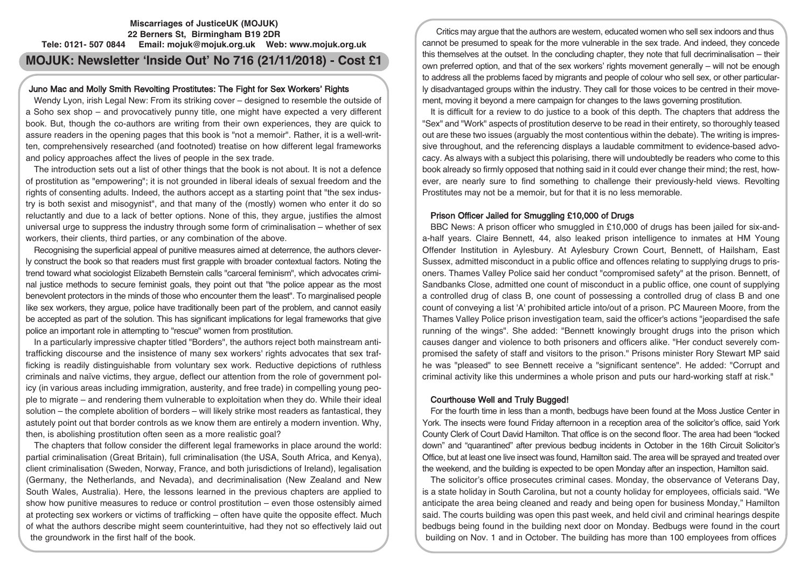# **Miscarriages of JusticeUK (MOJUK) 22 Berners St, Birmingham B19 2DR Tele: 0121- 507 0844 Email: mojuk@mojuk.org.uk Web: www.mojuk.org.uk**

# **MOJUK: Newsletter 'Inside Out' No 716 (21/11/2018) - Cost £1**

# Juno Mac and Molly Smith Revolting Prostitutes: The Fight for Sex Workers' Rights

Wendy Lyon, irish Legal New: From its striking cover – designed to resemble the outside of a Soho sex shop – and provocatively punny title, one might have expected a very different book. But, though the co-authors are writing from their own experiences, they are quick to assure readers in the opening pages that this book is "not a memoir". Rather, it is a well-written, comprehensively researched (and footnoted) treatise on how different legal frameworks and policy approaches affect the lives of people in the sex trade.

The introduction sets out a list of other things that the book is not about. It is not a defence of prostitution as "empowering"; it is not grounded in liberal ideals of sexual freedom and the rights of consenting adults. Indeed, the authors accept as a starting point that "the sex industry is both sexist and misogynist", and that many of the (mostly) women who enter it do so reluctantly and due to a lack of better options. None of this, they argue, justifies the almost universal urge to suppress the industry through some form of criminalisation – whether of sex workers, their clients, third parties, or any combination of the above.

Recognising the superficial appeal of punitive measures aimed at deterrence, the authors cleverly construct the book so that readers must first grapple with broader contextual factors. Noting the trend toward what sociologist Elizabeth Bernstein calls "carceral feminism", which advocates criminal justice methods to secure feminist goals, they point out that "the police appear as the most benevolent protectors in the minds of those who encounter them the least". To marginalised people like sex workers, they argue, police have traditionally been part of the problem, and cannot easily be accepted as part of the solution. This has significant implications for legal frameworks that give police an important role in attempting to "rescue" women from prostitution.

In a particularly impressive chapter titled "Borders", the authors reject both mainstream antitrafficking discourse and the insistence of many sex workers' rights advocates that sex trafficking is readily distinguishable from voluntary sex work. Reductive depictions of ruthless criminals and naïve victims, they argue, deflect our attention from the role of government policy (in various areas including immigration, austerity, and free trade) in compelling young people to migrate – and rendering them vulnerable to exploitation when they do. While their ideal solution – the complete abolition of borders – will likely strike most readers as fantastical, they astutely point out that border controls as we know them are entirely a modern invention. Why, then, is abolishing prostitution often seen as a more realistic goal?

The chapters that follow consider the different legal frameworks in place around the world: partial criminalisation (Great Britain), full criminalisation (the USA, South Africa, and Kenya), client criminalisation (Sweden, Norway, France, and both jurisdictions of Ireland), legalisation (Germany, the Netherlands, and Nevada), and decriminalisation (New Zealand and New South Wales, Australia). Here, the lessons learned in the previous chapters are applied to show how punitive measures to reduce or control prostitution – even those ostensibly aimed at protecting sex workers or victims of trafficking – often have quite the opposite effect. Much of what the authors describe might seem counterintuitive, had they not so effectively laid out the groundwork in the first half of the book.

Critics may argue that the authors are western, educated women who sell sex indoors and thus cannot be presumed to speak for the more vulnerable in the sex trade. And indeed, they concede this themselves at the outset. In the concluding chapter, they note that full decriminalisation – their own preferred option, and that of the sex workers' rights movement generally – will not be enough to address all the problems faced by migrants and people of colour who sell sex, or other particularly disadvantaged groups within the industry. They call for those voices to be centred in their movement, moving it beyond a mere campaign for changes to the laws governing prostitution.

It is difficult for a review to do justice to a book of this depth. The chapters that address the "Sex" and "Work" aspects of prostitution deserve to be read in their entirety, so thoroughly teased out are these two issues (arguably the most contentious within the debate). The writing is impressive throughout, and the referencing displays a laudable commitment to evidence-based advocacy. As always with a subject this polarising, there will undoubtedly be readers who come to this book already so firmly opposed that nothing said in it could ever change their mind; the rest, however, are nearly sure to find something to challenge their previously-held views. Revolting Prostitutes may not be a memoir, but for that it is no less memorable.

## Prison Officer Jailed for Smuggling £10,000 of Drugs

BBC News: A prison officer who smuggled in £10,000 of drugs has been jailed for six-anda-half years. Claire Bennett, 44, also leaked prison intelligence to inmates at HM Young Offender Institution in Aylesbury. At Aylesbury Crown Court, Bennett, of Hailsham, East Sussex, admitted misconduct in a public office and offences relating to supplying drugs to prisoners. Thames Valley Police said her conduct "compromised safety" at the prison. Bennett, of Sandbanks Close, admitted one count of misconduct in a public office, one count of supplying a controlled drug of class B, one count of possessing a controlled drug of class B and one count of conveying a list 'A' prohibited article into/out of a prison. PC Maureen Moore, from the Thames Valley Police prison investigation team, said the officer's actions "jeopardised the safe running of the wings". She added: "Bennett knowingly brought drugs into the prison which causes danger and violence to both prisoners and officers alike. "Her conduct severely compromised the safety of staff and visitors to the prison." Prisons minister Rory Stewart MP said he was "pleased" to see Bennett receive a "significant sentence". He added: "Corrupt and criminal activity like this undermines a whole prison and puts our hard-working staff at risk."

## Courthouse Well and Truly Bugged!

For the fourth time in less than a month, bedbugs have been found at the Moss Justice Center in York. The insects were found Friday afternoon in a reception area of the solicitor's office, said York County Clerk of Court David Hamilton. That office is on the second floor. The area had been "locked down" and "quarantined" after previous bedbug incidents in October in the 16th Circuit Solicitor's Office, but at least one live insect was found, Hamilton said. The area will be sprayed and treated over the weekend, and the building is expected to be open Monday after an inspection, Hamilton said.

The solicitor's office prosecutes criminal cases. Monday, the observance of Veterans Day, is a state holiday in South Carolina, but not a county holiday for employees, officials said. "We anticipate the area being cleaned and ready and being open for business Monday," Hamilton said. The courts building was open this past week, and held civil and criminal hearings despite bedbugs being found in the building next door on Monday. Bedbugs were found in the court building on Nov. 1 and in October. The building has more than 100 employees from offices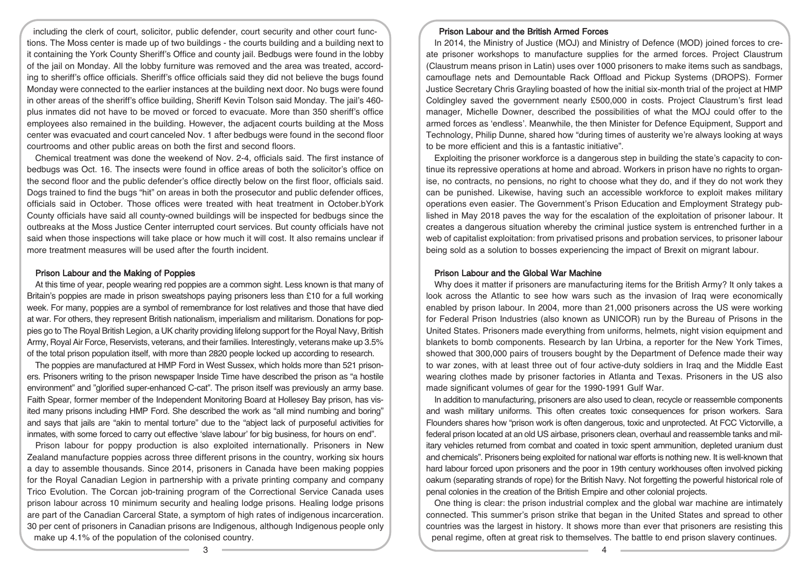including the clerk of court, solicitor, public defender, court security and other court functions. The Moss center is made up of two buildings - the courts building and a building next to it containing the York County Sheriff's Office and county jail. Bedbugs were found in the lobby of the jail on Monday. All the lobby furniture was removed and the area was treated, according to sheriff's office officials. Sheriff's office officials said they did not believe the bugs found Monday were connected to the earlier instances at the building next door. No bugs were found in other areas of the sheriff's office building, Sheriff Kevin Tolson said Monday. The jail's 460 plus inmates did not have to be moved or forced to evacuate. More than 350 sheriff's office employees also remained in the building. However, the adjacent courts building at the Moss center was evacuated and court canceled Nov. 1 after bedbugs were found in the second floor courtrooms and other public areas on both the first and second floors.

Chemical treatment was done the weekend of Nov. 2-4, officials said. The first instance of bedbugs was Oct. 16. The insects were found in office areas of both the solicitor's office on the second floor and the public defender's office directly below on the first floor, officials said. Dogs trained to find the bugs "hit" on areas in both the prosecutor and public defender offices, officials said in October. Those offices were treated with heat treatment in October.bYork County officials have said all county-owned buildings will be inspected for bedbugs since the outbreaks at the Moss Justice Center interrupted court services. But county officials have not said when those inspections will take place or how much it will cost. It also remains unclear if more treatment measures will be used after the fourth incident.

#### Prison Labour and the Making of Poppies

At this time of year, people wearing red poppies are a common sight. Less known is that many of Britain's poppies are made in prison sweatshops paying prisoners less than £10 for a full working week. For many, poppies are a symbol of remembrance for lost relatives and those that have died at war. For others, they represent British nationalism, imperialism and militarism. Donations for poppies go to The Royal British Legion, a UK charity providing lifelong support for the Royal Navy, British Army, Royal Air Force, Reservists, veterans, and their families. Interestingly, veterans make up 3.5% of the total prison population itself, with more than 2820 people locked up according to research.

The poppies are manufactured at HMP Ford in West Sussex, which holds more than 521 prisoners. Prisoners writing to the prison newspaper Inside Time have described the prison as "a hostile environment" and "glorified super-enhanced C-cat". The prison itself was previously an army base. Faith Spear, former member of the Independent Monitoring Board at Hollesey Bay prison, has visited many prisons including HMP Ford. She described the work as "all mind numbing and boring" and says that jails are "akin to mental torture" due to the "abject lack of purposeful activities for inmates, with some forced to carry out effective 'slave labour' for big business, for hours on end".

Prison labour for poppy production is also exploited internationally. Prisoners in New Zealand manufacture poppies across three different prisons in the country, working six hours a day to assemble thousands. Since 2014, prisoners in Canada have been making poppies for the Royal Canadian Legion in partnership with a private printing company and company Trico Evolution. The Corcan job-training program of the Correctional Service Canada uses prison labour across 10 minimum security and healing lodge prisons. Healing lodge prisons are part of the Canadian Carceral State, a symptom of high rates of indigenous incarceration. 30 per cent of prisoners in Canadian prisons are Indigenous, although Indigenous people only make up 4.1% of the population of the colonised country.

### Prison Labour and the British Armed Forces

In 2014, the Ministry of Justice (MOJ) and Ministry of Defence (MOD) joined forces to create prisoner workshops to manufacture supplies for the armed forces. Project Claustrum (Claustrum means prison in Latin) uses over 1000 prisoners to make items such as sandbags, camouflage nets and Demountable Rack Offload and Pickup Systems (DROPS). Former Justice Secretary Chris Grayling boasted of how the initial six-month trial of the project at HMP Coldingley saved the government nearly £500,000 in costs. Project Claustrum's first lead manager, Michelle Downer, described the possibilities of what the MOJ could offer to the armed forces as 'endless'. Meanwhile, the then Minister for Defence Equipment, Support and Technology, Philip Dunne, shared how "during times of austerity we're always looking at ways to be more efficient and this is a fantastic initiative".

Exploiting the prisoner workforce is a dangerous step in building the state's capacity to continue its repressive operations at home and abroad. Workers in prison have no rights to organise, no contracts, no pensions, no right to choose what they do, and if they do not work they can be punished. Likewise, having such an accessible workforce to exploit makes military operations even easier. The Government's Prison Education and Employment Strategy published in May 2018 paves the way for the escalation of the exploitation of prisoner labour. It creates a dangerous situation whereby the criminal justice system is entrenched further in a web of capitalist exploitation: from privatised prisons and probation services, to prisoner labour being sold as a solution to bosses experiencing the impact of Brexit on migrant labour.

#### Prison Labour and the Global War Machine

Why does it matter if prisoners are manufacturing items for the British Army? It only takes a look across the Atlantic to see how wars such as the invasion of Iraq were economically enabled by prison labour. In 2004, more than 21,000 prisoners across the US were working for Federal Prison Industries (also known as UNICOR) run by the Bureau of Prisons in the United States. Prisoners made everything from uniforms, helmets, night vision equipment and blankets to bomb components. Research by Ian Urbina, a reporter for the New York Times, showed that 300,000 pairs of trousers bought by the Department of Defence made their way to war zones, with at least three out of four active-duty soldiers in Iraq and the Middle East wearing clothes made by prisoner factories in Atlanta and Texas. Prisoners in the US also made significant volumes of gear for the 1990-1991 Gulf War.

In addition to manufacturing, prisoners are also used to clean, recycle or reassemble components and wash military uniforms. This often creates toxic consequences for prison workers. Sara Flounders shares how "prison work is often dangerous, toxic and unprotected. At FCC Victorville, a federal prison located at an old US airbase, prisoners clean, overhaul and reassemble tanks and military vehicles returned from combat and coated in toxic spent ammunition, depleted uranium dust and chemicals". Prisoners being exploited for national war efforts is nothing new. It is well-known that hard labour forced upon prisoners and the poor in 19th century workhouses often involved picking oakum (separating strands of rope) for the British Navy. Not forgetting the powerful historical role of penal colonies in the creation of the British Empire and other colonial projects.

One thing is clear: the prison industrial complex and the global war machine are intimately connected. This summer's prison strike that began in the United States and spread to other countries was the largest in history. It shows more than ever that prisoners are resisting this penal regime, often at great risk to themselves. The battle to end prison slavery continues.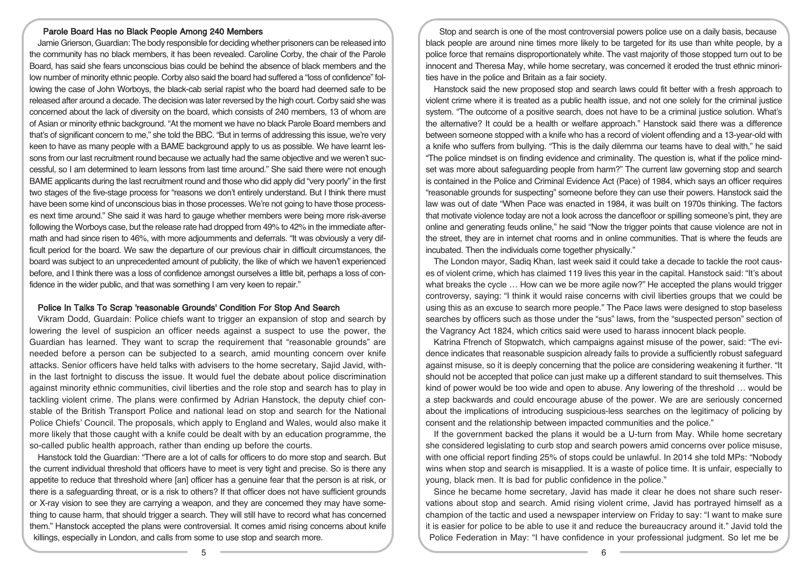## Parole Board Has no Black People Among 240 Members

Jamie Grierson, Guardian: The body responsible for deciding whether prisoners can be released into the community has no black members, it has been revealed. Caroline Corby, the chair of the Parole Board, has said she fears unconscious bias could be behind the absence of black members and the low number of minority ethnic people. Corby also said the board had suffered a "loss of confidence" following the case of John Worboys, the black-cab serial rapist who the board had deemed safe to be released after around a decade. The decision was later reversed by the high court. Corby said she was concerned about the lack of diversity on the board, which consists of 240 members, 13 of whom are of Asian or minority ethnic background. "At the moment we have no black Parole Board members and that's of significant concern to me," she told the BBC. "But in terms of addressing this issue, we're very keen to have as many people with a BAME background apply to us as possible. We have learnt lessons from our last recruitment round because we actually had the same objective and we weren't successful, so I am determined to learn lessons from last time around." She said there were not enough BAME applicants during the last recruitment round and those who did apply did "very poorly" in the first two stages of the five-stage process for "reasons we don't entirely understand. But I think there must have been some kind of unconscious bias in those processes. We're not going to have those processes next time around." She said it was hard to gauge whether members were being more risk-averse following the Worboys case, but the release rate had dropped from 49% to 42% in the immediate aftermath and had since risen to 46%, with more adjournments and deferrals. "It was obviously a very difficult period for the board. We saw the departure of our previous chair in difficult circumstances, the board was subject to an unprecedented amount of publicity, the like of which we haven't experienced before, and I think there was a loss of confidence amongst ourselves a little bit, perhaps a loss of confidence in the wider public, and that was something I am very keen to repair."

#### Police In Talks To Scrap 'reasonable Grounds' Condition For Stop And Search

Vikram Dodd, Guardain: Police chiefs want to trigger an expansion of stop and search by lowering the level of suspicion an officer needs against a suspect to use the power, the Guardian has learned. They want to scrap the requirement that "reasonable grounds" are needed before a person can be subjected to a search, amid mounting concern over knife attacks. Senior officers have held talks with advisers to the home secretary, Sajid Javid, within the last fortnight to discuss the issue. It would fuel the debate about police discrimination against minority ethnic communities, civil liberties and the role stop and search has to play in tackling violent crime. The plans were confirmed by Adrian Hanstock, the deputy chief constable of the British Transport Police and national lead on stop and search for the National Police Chiefs' Council. The proposals, which apply to England and Wales, would also make it more likely that those caught with a knife could be dealt with by an education programme, the so-called public health approach, rather than ending up before the courts.

Hanstock told the Guardian: "There are a lot of calls for officers to do more stop and search. But the current individual threshold that officers have to meet is very tight and precise. So is there any appetite to reduce that threshold where [an] officer has a genuine fear that the person is at risk, or there is a safeguarding threat, or is a risk to others? If that officer does not have sufficient grounds or X-ray vision to see they are carrying a weapon, and they are concerned they may have something to cause harm, that should trigger a search. They will still have to record what has concerned them." Hanstock accepted the plans were controversial. It comes amid rising concerns about knife killings, especially in London, and calls from some to use stop and search more.

Stop and search is one of the most controversial powers police use on a daily basis, because black people are around nine times more likely to be targeted for its use than white people, by a police force that remains disproportionately white. The vast majority of those stopped turn out to be innocent and Theresa May, while home secretary, was concerned it eroded the trust ethnic minorities have in the police and Britain as a fair society.

Hanstock said the new proposed stop and search laws could fit better with a fresh approach to violent crime where it is treated as a public health issue, and not one solely for the criminal justice system. "The outcome of a positive search, does not have to be a criminal justice solution. What's the alternative? It could be a health or welfare approach." Hanstock said there was a difference between someone stopped with a knife who has a record of violent offending and a 13-year-old with a knife who suffers from bullying. "This is the daily dilemma our teams have to deal with," he said "The police mindset is on finding evidence and criminality. The question is, what if the police mindset was more about safeguarding people from harm?" The current law governing stop and search is contained in the Police and Criminal Evidence Act (Pace) of 1984, which says an officer requires "reasonable grounds for suspecting" someone before they can use their powers. Hanstock said the law was out of date "When Pace was enacted in 1984, it was built on 1970s thinking. The factors that motivate violence today are not a look across the dancefloor or spilling someone's pint, they are online and generating feuds online," he said "Now the trigger points that cause violence are not in the street, they are in internet chat rooms and in online communities. That is where the feuds are incubated. Then the individuals come together physically."

The London mayor, Sadiq Khan, last week said it could take a decade to tackle the root causes of violent crime, which has claimed 119 lives this year in the capital. Hanstock said: "It's about what breaks the cycle … How can we be more agile now?" He accepted the plans would trigger controversy, saying: "I think it would raise concerns with civil liberties groups that we could be using this as an excuse to search more people." The Pace laws were designed to stop baseless searches by officers such as those under the "sus" laws, from the "suspected person" section of the Vagrancy Act 1824, which critics said were used to harass innocent black people.

Katrina Ffrench of Stopwatch, which campaigns against misuse of the power, said: "The evidence indicates that reasonable suspicion already fails to provide a sufficiently robust safeguard against misuse, so it is deeply concerning that the police are considering weakening it further. "It should not be accepted that police can just make up a different standard to suit themselves. This kind of power would be too wide and open to abuse. Any lowering of the threshold … would be a step backwards and could encourage abuse of the power. We are are seriously concerned about the implications of introducing suspicious-less searches on the legitimacy of policing by consent and the relationship between impacted communities and the police."

If the government backed the plans it would be a U-turn from May. While home secretary she considered legislating to curb stop and search powers amid concerns over police misuse, with one official report finding 25% of stops could be unlawful. In 2014 she told MPs: "Nobody wins when stop and search is misapplied. It is a waste of police time. It is unfair, especially to young, black men. It is bad for public confidence in the police."

Since he became home secretary, Javid has made it clear he does not share such reservations about stop and search. Amid rising violent crime, Javid has portrayed himself as a champion of the tactic and used a newspaper interview on Friday to say: "I want to make sure it is easier for police to be able to use it and reduce the bureaucracy around it." Javid told the Police Federation in May: "I have confidence in your professional judgment. So let me be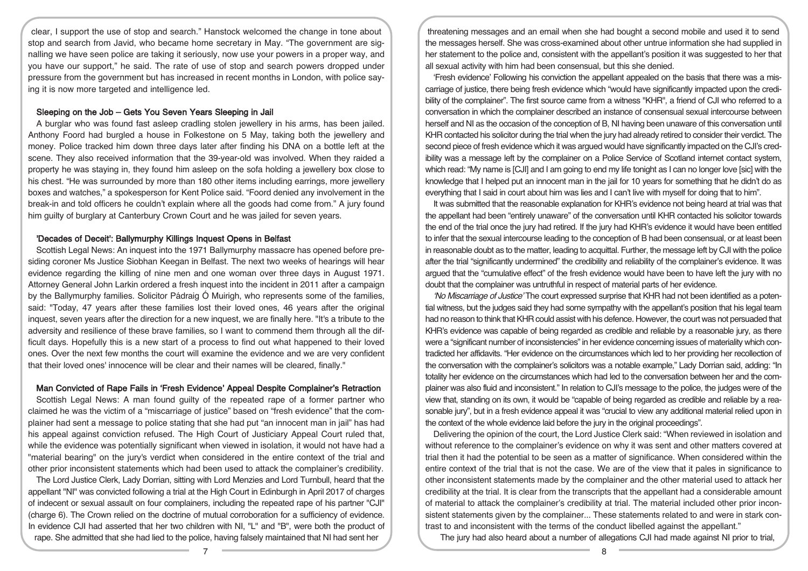clear, I support the use of stop and search." Hanstock welcomed the change in tone about stop and search from Javid, who became home secretary in May. "The government are signalling we have seen police are taking it seriously, now use your powers in a proper way, and you have our support," he said. The rate of use of stop and search powers dropped under pressure from the government but has increased in recent months in London, with police saying it is now more targeted and intelligence led.

### Sleeping on the Job – Gets You Seven Years Sleeping in Jail

A burglar who was found fast asleep cradling stolen jewellery in his arms, has been jailed. Anthony Foord had burgled a house in Folkestone on 5 May, taking both the jewellery and money. Police tracked him down three days later after finding his DNA on a bottle left at the scene. They also received information that the 39-year-old was involved. When they raided a property he was staying in, they found him asleep on the sofa holding a jewellery box close to his chest. "He was surrounded by more than 180 other items including earrings, more jewellery boxes and watches," a spokesperson for Kent Police said. "Foord denied any involvement in the break-in and told officers he couldn't explain where all the goods had come from." A jury found him guilty of burglary at Canterbury Crown Court and he was jailed for seven years.

### 'Decades of Deceit': Ballymurphy Killings Inquest Opens in Belfast

Scottish Legal News: An inquest into the 1971 Ballymurphy massacre has opened before presiding coroner Ms Justice Siobhan Keegan in Belfast. The next two weeks of hearings will hear evidence regarding the killing of nine men and one woman over three days in August 1971. Attorney General John Larkin ordered a fresh inquest into the incident in 2011 after a campaign by the Ballymurphy families. Solicitor Pádraig Ó Muirigh, who represents some of the families, said: "Today, 47 years after these families lost their loved ones, 46 years after the original inquest, seven years after the direction for a new inquest, we are finally here. "It's a tribute to the adversity and resilience of these brave families, so I want to commend them through all the difficult days. Hopefully this is a new start of a process to find out what happened to their loved ones. Over the next few months the court will examine the evidence and we are very confident that their loved ones' innocence will be clear and their names will be cleared, finally."

### Man Convicted of Rape Fails in 'Fresh Evidence' Appeal Despite Complainer's Retraction

Scottish Legal News: A man found guilty of the repeated rape of a former partner who claimed he was the victim of a "miscarriage of justice" based on "fresh evidence" that the complainer had sent a message to police stating that she had put "an innocent man in jail" has had his appeal against conviction refused. The High Court of Justiciary Appeal Court ruled that, while the evidence was potentially significant when viewed in isolation, it would not have had a "material bearing" on the jury's verdict when considered in the entire context of the trial and other prior inconsistent statements which had been used to attack the complainer's credibility.

The Lord Justice Clerk, Lady Dorrian, sitting with Lord Menzies and Lord Turnbull, heard that the appellant "NI" was convicted following a trial at the High Court in Edinburgh in April 2017 of charges of indecent or sexual assault on four complainers, including the repeated rape of his partner "CJI" (charge 6). The Crown relied on the doctrine of mutual corroboration for a sufficiency of evidence. In evidence CJI had asserted that her two children with NI, "L" and "B", were both the product of rape. She admitted that she had lied to the police, having falsely maintained that NI had sent her

threatening messages and an email when she had bought a second mobile and used it to send the messages herself. She was cross-examined about other untrue information she had supplied in her statement to the police and, consistent with the appellant's position it was suggested to her that all sexual activity with him had been consensual, but this she denied.

'Fresh evidence' Following his conviction the appellant appealed on the basis that there was a miscarriage of justice, there being fresh evidence which "would have significantly impacted upon the credibility of the complainer". The first source came from a witness "KHR", a friend of CJI who referred to a conversation in which the complainer described an instance of consensual sexual intercourse between herself and NI as the occasion of the conception of B, NI having been unaware of this conversation until KHR contacted his solicitor during the trial when the jury had already retired to consider their verdict. The second piece of fresh evidence which it was argued would have significantly impacted on the CJI's credibility was a message left by the complainer on a Police Service of Scotland internet contact system, which read: "My name is [CJI] and I am going to end my life tonight as I can no longer love [sic] with the knowledge that I helped put an innocent man in the jail for 10 years for something that he didn't do as everything that I said in court about him was lies and I can't live with myself for doing that to him".

It was submitted that the reasonable explanation for KHR's evidence not being heard at trial was that the appellant had been "entirely unaware" of the conversation until KHR contacted his solicitor towards the end of the trial once the jury had retired. If the jury had KHR's evidence it would have been entitled to infer that the sexual intercourse leading to the conception of B had been consensual, or at least been in reasonable doubt as to the matter, leading to acquittal. Further, the message left by CJI with the police after the trial "significantly undermined" the credibility and reliability of the complainer's evidence. It was argued that the "cumulative effect" of the fresh evidence would have been to have left the jury with no doubt that the complainer was untruthful in respect of material parts of her evidence.

'No Miscarriage of Justice' The court expressed surprise that KHR had not been identified as a potential witness, but the judges said they had some sympathy with the appellant's position that his legal team had no reason to think that KHR could assist with his defence. However, the court was not persuaded that KHR's evidence was capable of being regarded as credible and reliable by a reasonable jury, as there were a "significant number of inconsistencies" in her evidence concerning issues of materiality which contradicted her affidavits. "Her evidence on the circumstances which led to her providing her recollection of the conversation with the complainer's solicitors was a notable example," Lady Dorrian said, adding: "In totality her evidence on the circumstances which had led to the conversation between her and the complainer was also fluid and inconsistent." In relation to CJI's message to the police, the judges were of the view that, standing on its own, it would be "capable of being regarded as credible and reliable by a reasonable jury", but in a fresh evidence appeal it was "crucial to view any additional material relied upon in the context of the whole evidence laid before the jury in the original proceedings".

Delivering the opinion of the court, the Lord Justice Clerk said: "When reviewed in isolation and without reference to the complainer's evidence on why it was sent and other matters covered at trial then it had the potential to be seen as a matter of significance. When considered within the entire context of the trial that is not the case. We are of the view that it pales in significance to other inconsistent statements made by the complainer and the other material used to attack her credibility at the trial. It is clear from the transcripts that the appellant had a considerable amount of material to attack the complainer's credibility at trial. The material included other prior inconsistent statements given by the complainer... These statements related to and were in stark contrast to and inconsistent with the terms of the conduct libelled against the appellant."

The jury had also heard about a number of allegations CJI had made against NI prior to trial,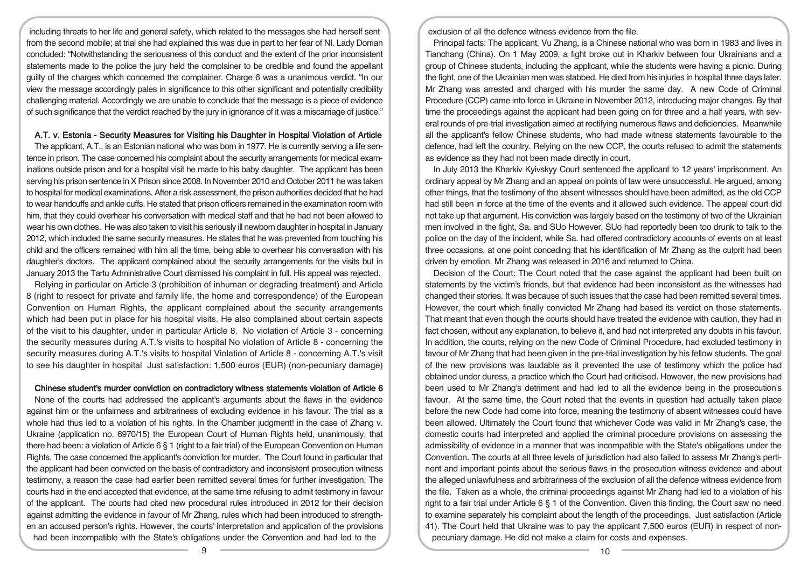including threats to her life and general safety, which related to the messages she had herself sent from the second mobile; at trial she had explained this was due in part to her fear of NI. Lady Dorrian concluded: "Notwithstanding the seriousness of this conduct and the extent of the prior inconsistent statements made to the police the jury held the complainer to be credible and found the appellant guilty of the charges which concerned the complainer. Charge 6 was a unanimous verdict. "In our view the message accordingly pales in significance to this other significant and potentially credibility challenging material. Accordingly we are unable to conclude that the message is a piece of evidence of such significance that the verdict reached by the jury in ignorance of it was a miscarriage of justice."

## A.T. v. Estonia - Security Measures for Visiting his Daughter in Hospital Violation of Article

The applicant, A.T., is an Estonian national who was born in 1977. He is currently serving a life sentence in prison. The case concerned his complaint about the security arrangements for medical examinations outside prison and for a hospital visit he made to his baby daughter. The applicant has been serving his prison sentence in X Prison since 2008. In November 2010 and October 2011 he was taken to hospital for medical examinations. After a risk assessment, the prison authorities decided that he had to wear handcuffs and ankle cuffs. He stated that prison officers remained in the examination room with him, that they could overhear his conversation with medical staff and that he had not been allowed to wear his own clothes. He was also taken to visit his seriously ill newborn daughterin hospital in January 2012, which included the same security measures. He states that he was prevented from touching his child and the officers remained with him all the time, being able to overhear his conversation with his daughter's doctors. The applicant complained about the security arrangements for the visits but in January 2013 the Tartu Administrative Court dismissed his complaint in full. His appeal was rejected.

Relying in particular on Article 3 (prohibition of inhuman or degrading treatment) and Article 8 (right to respect for private and family life, the home and correspondence) of the European Convention on Human Rights, the applicant complained about the security arrangements which had been put in place for his hospital visits. He also complained about certain aspects of the visit to his daughter, under in particular Article 8. No violation of Article 3 - concerning the security measures during A.T.'s visits to hospital No violation of Article 8 - concerning the security measures during A.T.'s visits to hospital Violation of Article 8 - concerning A.T.'s visit to see his daughter in hospital Just satisfaction: 1,500 euros (EUR) (non-pecuniary damage)

### Chinese student's murder conviction on contradictory witness statements violation of Article 6

None of the courts had addressed the applicant's arguments about the flaws in the evidence against him or the unfairness and arbitrariness of excluding evidence in his favour. The trial as a whole had thus led to a violation of his rights. In the Chamber judgment! in the case of Zhang v. Ukraine (application no. 6970/15) the European Court of Human Rights held, unanimously, that there had been: a violation of Article 6 § 1 (right to a fair trial) of the European Convention on Human Rights. The case concerned the applicant's conviction for murder. The Court found in particular that the applicant had been convicted on the basis of contradictory and inconsistent prosecution witness testimony, a reason the case had earlier been remitted several times for further investigation. The courts had in the end accepted that evidence, at the same time refusing to admit testimony in favour of the applicant. The courts had cited new procedural rules introduced in 2012 for their decision against admitting the evidence in favour of Mr Zhang, rules which had been introduced to strengthen an accused person's rights. However, the courts' interpretation and application of the provisions had been incompatible with the State's obligations under the Convention and had led to the

exclusion of all the defence witness evidence from the file.

Principal facts: The applicant, Vu Zhang, is a Chinese national who was born in 1983 and lives in Tianchang (China). On 1 May 2009, a fight broke out in Kharkiv between four Ukrainians and a group of Chinese students, including the applicant, while the students were having a picnic. During the fight, one of the Ukrainian men was stabbed. He died from his injuries in hospital three days later. Mr Zhang was arrested and charged with his murder the same day. A new Code of Criminal Procedure (CCP) came into force in Ukraine in November 2012, introducing major changes. By that time the proceedings against the applicant had been going on for three and a half years, with several rounds of pre-trial investigation aimed at rectifying numerous flaws and deficiencies. Meanwhile all the applicant's fellow Chinese students, who had made witness statements favourable to the defence, had left the country. Relying on the new CCP, the courts refused to admit the statements as evidence as they had not been made directly in court.

In July 2013 the Kharkiv Kyivskyy Court sentenced the applicant to 12 years' imprisonment. An ordinary appeal by Mr Zhang and an appeal on points of law were unsuccessful. He argued, among other things, that the testimony of the absent witnesses should have been admitted, as the old CCP had still been in force at the time of the events and it allowed such evidence. The appeal court did not take up that argument. His conviction was largely based on the testimony of two of the Ukrainian men involved in the fight, Sa. and SUo However, SUo had reportedly been too drunk to talk to the police on the day of the incident, while Sa. had offered contradictory accounts of events on at least three occasions, at one point conceding that his identification of Mr Zhang as the culprit had been driven by emotion. Mr Zhang was released in 2016 and returned to China.

Decision of the Court: The Court noted that the case against the applicant had been built on statements by the victim's friends, but that evidence had been inconsistent as the witnesses had changed their stories. It was because of such issues that the case had been remitted several times. However, the court which finally convicted Mr Zhang had based its verdict on those statements. That meant that even though the courts should have treated the evidence with caution, they had in fact chosen, without any explanation, to believe it, and had not interpreted any doubts in his favour. In addition, the courts, relying on the new Code of Criminal Procedure, had excluded testimony in favour of Mr Zhang that had been given in the pre-trial investigation by his fellow students. The goal of the new provisions was laudable as it prevented the use of testimony which the police had obtained under duress, a practice which the Court had criticised. However, the new provisions had been used to Mr Zhang's detriment and had led to all the evidence being in the prosecution's favour. At the same time, the Court noted that the events in question had actually taken place before the new Code had come into force, meaning the testimony of absent witnesses could have been allowed. Ultimately the Court found that whichever Code was valid in Mr Zhang's case, the domestic courts had interpreted and applied the criminal procedure provisions on assessing the admissibility of evidence in a manner that was incompatible with the State's obligations under the Convention. The courts at all three levels of jurisdiction had also failed to assess Mr Zhang's pertinent and important points about the serious flaws in the prosecution witness evidence and about the alleged unlawfulness and arbitrariness of the exclusion of all the defence witness evidence from the file. Taken as a whole, the criminal proceedings against Mr Zhang had led to a violation of his right to a fair trial under Article 6 § 1 of the Convention. Given this finding, the Court saw no need to examine separately his complaint about the length of the proceedings. Just satisfaction (Article 41). The Court held that Ukraine was to pay the applicant 7,500 euros (EUR) in respect of nonpecuniary damage. He did not make a claim for costs and expenses.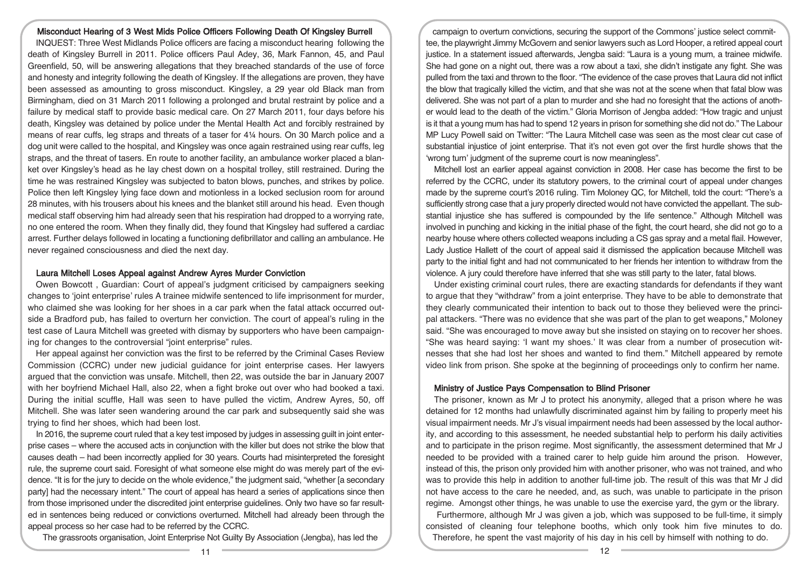## Misconduct Hearing of 3 West Mids Police Officers Following Death Of Kingsley Burrell

INQUEST: Three West Midlands Police officers are facing a misconduct hearing following the death of Kingsley Burrell in 2011. Police officers Paul Adey, 36, Mark Fannon, 45, and Paul Greenfield, 50, will be answering allegations that they breached standards of the use of force and honesty and integrity following the death of Kingsley. If the allegations are proven, they have been assessed as amounting to gross misconduct. Kingsley, a 29 year old Black man from Birmingham, died on 31 March 2011 following a prolonged and brutal restraint by police and a failure by medical staff to provide basic medical care. On 27 March 2011, four days before his death, Kingsley was detained by police under the Mental Health Act and forcibly restrained by means of rear cuffs, leg straps and threats of a taser for 4¼ hours. On 30 March police and a dog unit were called to the hospital, and Kingsley was once again restrained using rear cuffs, leg straps, and the threat of tasers. En route to another facility, an ambulance worker placed a blanket over Kingsley's head as he lay chest down on a hospital trolley, still restrained. During the time he was restrained Kingsley was subjected to baton blows, punches, and strikes by police. Police then left Kingsley lying face down and motionless in a locked seclusion room for around 28 minutes, with his trousers about his knees and the blanket still around his head. Even though medical staff observing him had already seen that his respiration had dropped to a worrying rate, no one entered the room. When they finally did, they found that Kingsley had suffered a cardiac arrest. Further delays followed in locating a functioning defibrillator and calling an ambulance. He never regained consciousness and died the next day.

### Laura Mitchell Loses Appeal against Andrew Ayres Murder Conviction

Owen Bowcott , Guardian: Court of appeal's judgment criticised by campaigners seeking changes to 'joint enterprise' rules A trainee midwife sentenced to life imprisonment for murder, who claimed she was looking for her shoes in a car park when the fatal attack occurred outside a Bradford pub, has failed to overturn her conviction. The court of appeal's ruling in the test case of Laura Mitchell was greeted with dismay by supporters who have been campaigning for changes to the controversial "joint enterprise" rules.

Her appeal against her conviction was the first to be referred by the Criminal Cases Review Commission (CCRC) under new judicial guidance for joint enterprise cases. Her lawyers argued that the conviction was unsafe. Mitchell, then 22, was outside the bar in January 2007 with her boyfriend Michael Hall, also 22, when a fight broke out over who had booked a taxi. During the initial scuffle, Hall was seen to have pulled the victim, Andrew Ayres, 50, off Mitchell. She was later seen wandering around the car park and subsequently said she was trying to find her shoes, which had been lost.

In 2016, the supreme court ruled that a key test imposed by judges in assessing guilt in joint enterprise cases – where the accused acts in conjunction with the killer but does not strike the blow that causes death – had been incorrectly applied for 30 years. Courts had misinterpreted the foresight rule, the supreme court said. Foresight of what someone else might do was merely part of the evidence. "It is for the jury to decide on the whole evidence," the judgment said, "whether [a secondary party] had the necessary intent." The court of appeal has heard a series of applications since then from those imprisoned under the discredited joint enterprise guidelines. Only two have so far resulted in sentences being reduced or convictions overturned. Mitchell had already been through the appeal process so her case had to be referred by the CCRC.

The grassroots organisation, Joint Enterprise Not Guilty By Association (Jengba), has led the

campaign to overturn convictions, securing the support of the Commons' justice select committee, the playwright Jimmy McGovern and senior lawyers such as Lord Hooper, a retired appeal court justice. In a statement issued afterwards, Jengba said: "Laura is a young mum, a trainee midwife. She had gone on a night out, there was a row about a taxi, she didn't instigate any fight. She was pulled from the taxi and thrown to the floor. "The evidence of the case proves that Laura did not inflict the blow that tragically killed the victim, and that she was not at the scene when that fatal blow was delivered. She was not part of a plan to murder and she had no foresight that the actions of another would lead to the death of the victim." Gloria Morrison of Jengba added: "How tragic and unjust is it that a young mum has had to spend 12 years in prison for something she did not do." The Labour MP Lucy Powell said on Twitter: "The Laura Mitchell case was seen as the most clear cut case of substantial injustice of joint enterprise. That it's not even got over the first hurdle shows that the 'wrong turn' judgment of the supreme court is now meaningless".

Mitchell lost an earlier appeal against conviction in 2008. Her case has become the first to be referred by the CCRC, under its statutory powers, to the criminal court of appeal under changes made by the supreme court's 2016 ruling. Tim Moloney QC, for Mitchell, told the court: "There's a sufficiently strong case that a jury properly directed would not have convicted the appellant. The substantial injustice she has suffered is compounded by the life sentence." Although Mitchell was involved in punching and kicking in the initial phase of the fight, the court heard, she did not go to a nearby house where others collected weapons including a CS gas spray and a metal flail. However, Lady Justice Hallett of the court of appeal said it dismissed the application because Mitchell was party to the initial fight and had not communicated to her friends her intention to withdraw from the violence. A jury could therefore have inferred that she was still party to the later, fatal blows.

Under existing criminal court rules, there are exacting standards for defendants if they want to argue that they "withdraw" from a joint enterprise. They have to be able to demonstrate that they clearly communicated their intention to back out to those they believed were the principal attackers. "There was no evidence that she was part of the plan to get weapons," Moloney said. "She was encouraged to move away but she insisted on staying on to recover her shoes. "She was heard saying: 'I want my shoes.' It was clear from a number of prosecution witnesses that she had lost her shoes and wanted to find them." Mitchell appeared by remote video link from prison. She spoke at the beginning of proceedings only to confirm her name.

#### Ministry of Justice Pays Compensation to Blind Prisoner

The prisoner, known as Mr J to protect his anonymity, alleged that a prison where he was detained for 12 months had unlawfully discriminated against him by failing to properly meet his visual impairment needs. Mr J's visual impairment needs had been assessed by the local authority, and according to this assessment, he needed substantial help to perform his daily activities and to participate in the prison regime. Most significantly, the assessment determined that Mr J needed to be provided with a trained carer to help guide him around the prison. However, instead of this, the prison only provided him with another prisoner, who was not trained, and who was to provide this help in addition to another full-time job. The result of this was that Mr J did not have access to the care he needed, and, as such, was unable to participate in the prison regime. Amongst other things, he was unable to use the exercise yard, the gym or the library.

Furthermore, although Mr J was given a job, which was supposed to be full-time, it simply consisted of cleaning four telephone booths, which only took him five minutes to do. Therefore, he spent the vast majority of his day in his cell by himself with nothing to do.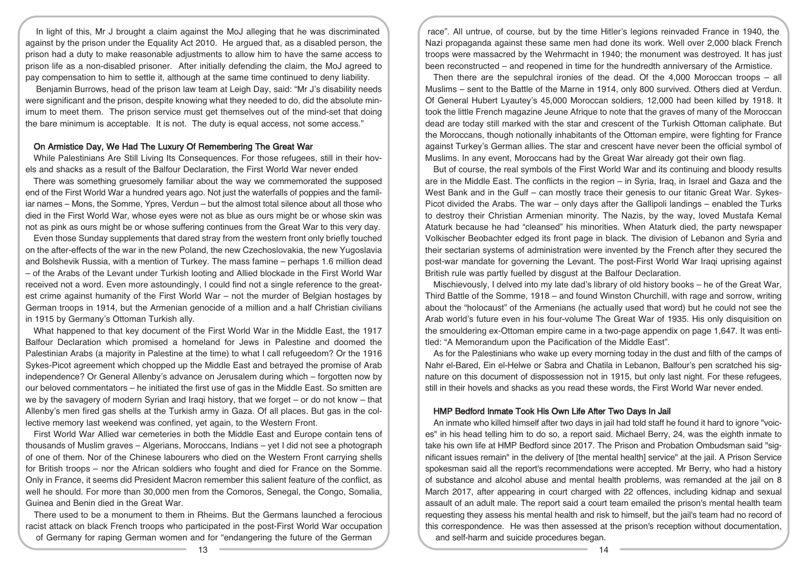In light of this, Mr J brought a claim against the MoJ alleging that he was discriminated against by the prison under the Equality Act 2010. He argued that, as a disabled person, the prison had a duty to make reasonable adjustments to allow him to have the same access to prison life as a non-disabled prisoner. After initially defending the claim, the MoJ agreed to pay compensation to him to settle it, although at the same time continued to deny liability.

Benjamin Burrows, head of the prison law team at Leigh Day, said: "Mr J's disability needs were significant and the prison, despite knowing what they needed to do, did the absolute minimum to meet them. The prison service must get themselves out of the mind-set that doing the bare minimum is acceptable. It is not. The duty is equal access, not some access."

#### On Armistice Day, We Had The Luxury Of Remembering The Great War

While Palestinians Are Still Living Its Consequences. For those refugees, still in their hovels and shacks as a result of the Balfour Declaration, the First World War never ended

There was something gruesomely familiar about the way we commemorated the supposed end of the First World War a hundred years ago. Not just the waterfalls of poppies and the familiar names – Mons, the Somme, Ypres, Verdun – but the almost total silence about all those who died in the First World War, whose eyes were not as blue as ours might be or whose skin was not as pink as ours might be or whose suffering continues from the Great War to this very day.

Even those Sunday supplements that dared stray from the western front only briefly touched on the after-effects of the war in the new Poland, the new Czechoslovakia, the new Yugoslavia and Bolshevik Russia, with a mention of Turkey. The mass famine – perhaps 1.6 million dead – of the Arabs of the Levant under Turkish looting and Allied blockade in the First World War received not a word. Even more astoundingly, I could find not a single reference to the greatest crime against humanity of the First World War – not the murder of Belgian hostages by German troops in 1914, but the Armenian genocide of a million and a half Christian civilians in 1915 by Germany's Ottoman Turkish ally.

What happened to that key document of the First World War in the Middle East, the 1917 Balfour Declaration which promised a homeland for Jews in Palestine and doomed the Palestinian Arabs (a majority in Palestine at the time) to what I call refugeedom? Or the 1916 Sykes-Picot agreement which chopped up the Middle East and betrayed the promise of Arab independence? Or General Allenby's advance on Jerusalem during which – forgotten now by our beloved commentators – he initiated the first use of gas in the Middle East. So smitten are we by the savagery of modern Syrian and Iraqi history, that we forget – or do not know – that Allenby's men fired gas shells at the Turkish army in Gaza. Of all places. But gas in the collective memory last weekend was confined, yet again, to the Western Front.

First World War Allied war cemeteries in both the Middle East and Europe contain tens of thousands of Muslim graves – Algerians, Moroccans, Indians – yet I did not see a photograph of one of them. Nor of the Chinese labourers who died on the Western Front carrying shells for British troops – nor the African soldiers who fought and died for France on the Somme. Only in France, it seems did President Macron remember this salient feature of the conflict, as well he should. For more than 30,000 men from the Comoros, Senegal, the Congo, Somalia, Guinea and Benin died in the Great War.

There used to be a monument to them in Rheims. But the Germans launched a ferocious racist attack on black French troops who participated in the post-First World War occupation of Germany for raping German women and for "endangering the future of the German

race". All untrue, of course, but by the time Hitler's legions reinvaded France in 1940, the Nazi propaganda against these same men had done its work. Well over 2,000 black French troops were massacred by the Wehrmacht in 1940; the monument was destroyed. It has just been reconstructed – and reopened in time for the hundredth anniversary of the Armistice.

Then there are the sepulchral ironies of the dead. Of the 4,000 Moroccan troops – all Muslims – sent to the Battle of the Marne in 1914, only 800 survived. Others died at Verdun. Of General Hubert Lyautey's 45,000 Moroccan soldiers, 12,000 had been killed by 1918. It took the little French magazine Jeune Afrique to note that the graves of many of the Moroccan dead are today still marked with the star and crescent of the Turkish Ottoman caliphate. But the Moroccans, though notionally inhabitants of the Ottoman empire, were fighting for France against Turkey's German allies. The star and crescent have never been the official symbol of Muslims. In any event, Moroccans had by the Great War already got their own flag.

But of course, the real symbols of the First World War and its continuing and bloody results are in the Middle East. The conflicts in the region – in Syria, Iraq, in Israel and Gaza and the West Bank and in the Gulf – can mostly trace their genesis to our titanic Great War. Sykes-Picot divided the Arabs. The war – only days after the Gallipoli landings – enabled the Turks to destroy their Christian Armenian minority. The Nazis, by the way, loved Mustafa Kemal Ataturk because he had "cleansed" his minorities. When Ataturk died, the party newspaper Volkischer Beobachter edged its front page in black. The division of Lebanon and Syria and their sectarian systems of administration were invented by the French after they secured the post-war mandate for governing the Levant. The post-First World War Iraqi uprising against British rule was partly fuelled by disgust at the Balfour Declaration.

Mischievously, I delved into my late dad's library of old history books – he of the Great War, Third Battle of the Somme, 1918 – and found Winston Churchill, with rage and sorrow, writing about the "holocaust" of the Armenians (he actually used that word) but he could not see the Arab world's future even in his four-volume The Great War of 1935. His only disquisition on the smouldering ex-Ottoman empire came in a two-page appendix on page 1,647. It was entitled: "A Memorandum upon the Pacification of the Middle East".

As for the Palestinians who wake up every morning today in the dust and filth of the camps of Nahr el-Bared, Ein el-Helwe or Sabra and Chatila in Lebanon, Balfour's pen scratched his signature on this document of dispossession not in 1915, but only last night. For these refugees, still in their hovels and shacks as you read these words, the First World War never ended.

#### HMP Bedford Inmate Took His Own Life After Two Days In Jail

An inmate who killed himself after two days in jail had told staff he found it hard to ignore "voices" in his head telling him to do so, a report said. Michael Berry, 24, was the eighth inmate to take his own life at HMP Bedford since 2017. The Prison and Probation Ombudsman said "significant issues remain" in the delivery of [the mental health] service" at the jail. A Prison Service spokesman said all the report's recommendations were accepted. Mr Berry, who had a history of substance and alcohol abuse and mental health problems, was remanded at the jail on 8 March 2017, after appearing in court charged with 22 offences, including kidnap and sexual assault of an adult male. The report said a court team emailed the prison's mental health team requesting they assess his mental health and risk to himself, but the jail's team had no record of this correspondence. He was then assessed at the prison's reception without documentation, and self-harm and suicide procedures began.